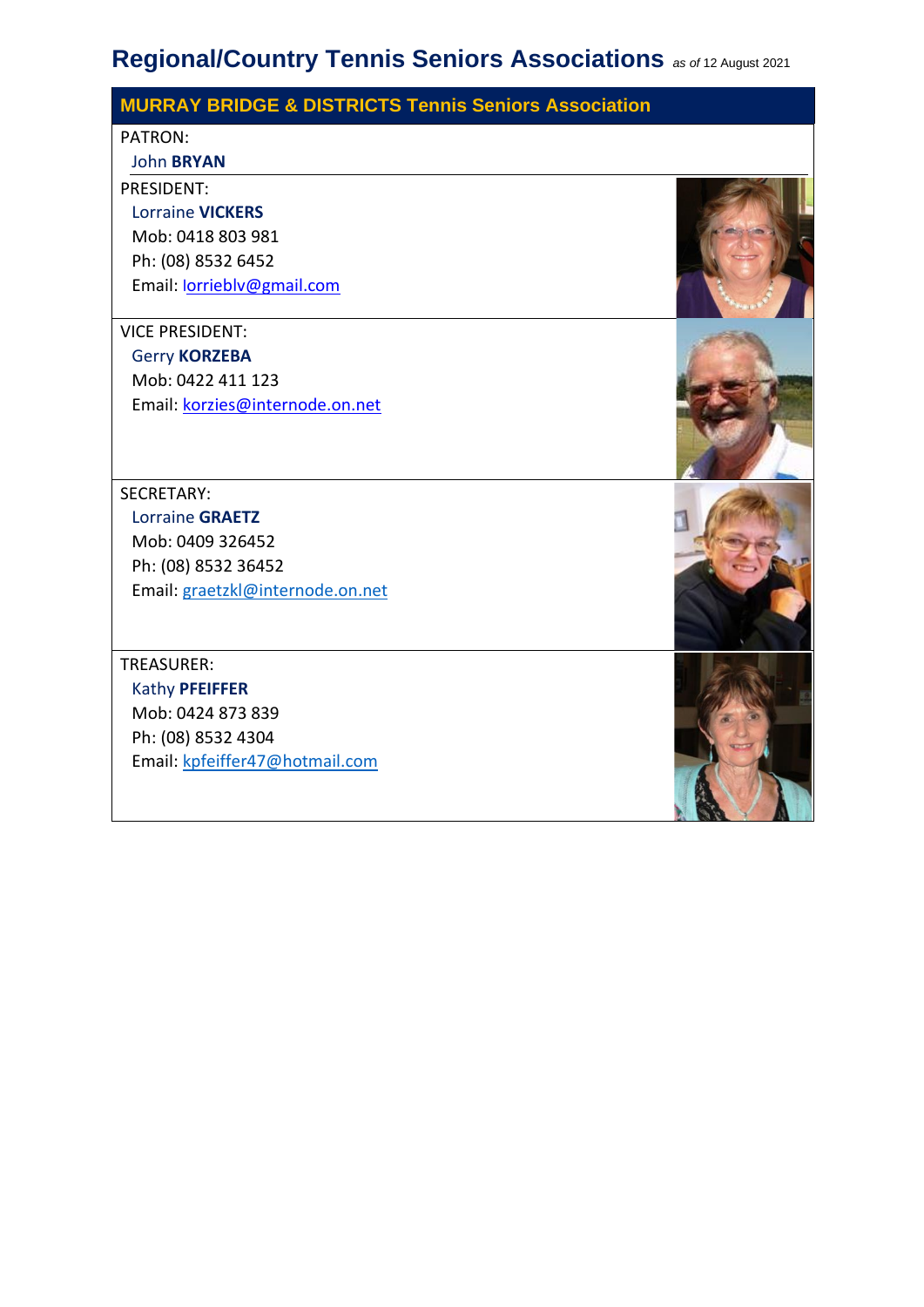# **Regional/Country Tennis Seniors Associations** *as of* <sup>12</sup> August 2021

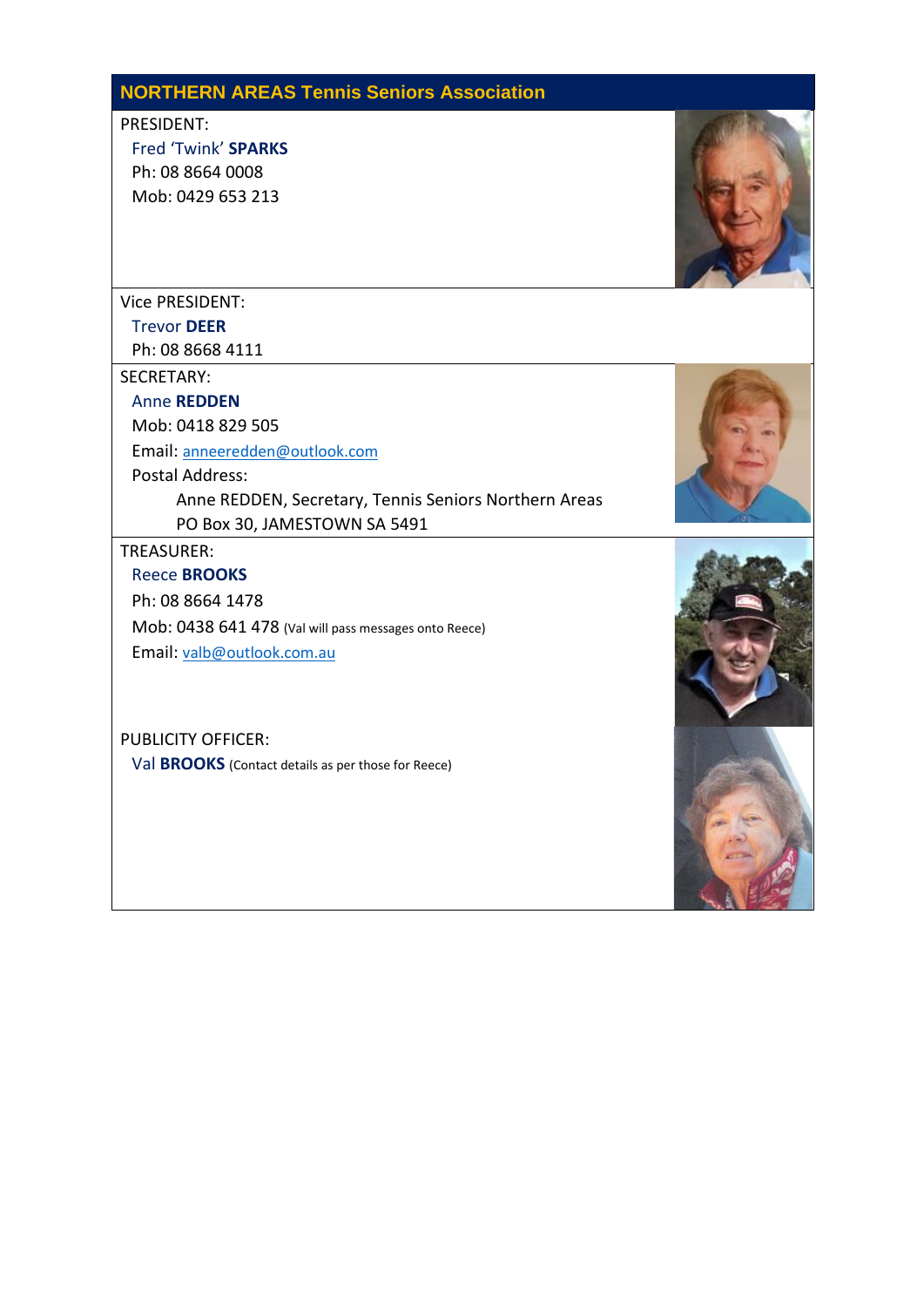## **NORTHERN AREAS Tennis Seniors Association**

#### PRESIDENT:

Fred 'Twink' **SPARKS** Ph: 08 8664 0008 Mob: 0429 653 213



#### Vice PRESIDENT:

Trevor **DEER**

Ph: 08 8668 4111

### SECRETARY:

Anne **REDDEN** Mob: 0418 829 505

Email: [anneeredden@outlook.com](mailto:anneeredden@outlook.com)

Postal Address:

Anne REDDEN, Secretary, Tennis Seniors Northern Areas PO Box 30, JAMESTOWN SA 5491

#### TREASURER:

Reece **BROOKS**

Ph: 08 8664 1478

Mob: 0438 641 478 (Val will pass messages onto Reece)

Email: valb@outlook.com.au

PUBLICITY OFFICER: Val **BROOKS** (Contact details as per those for Reece)





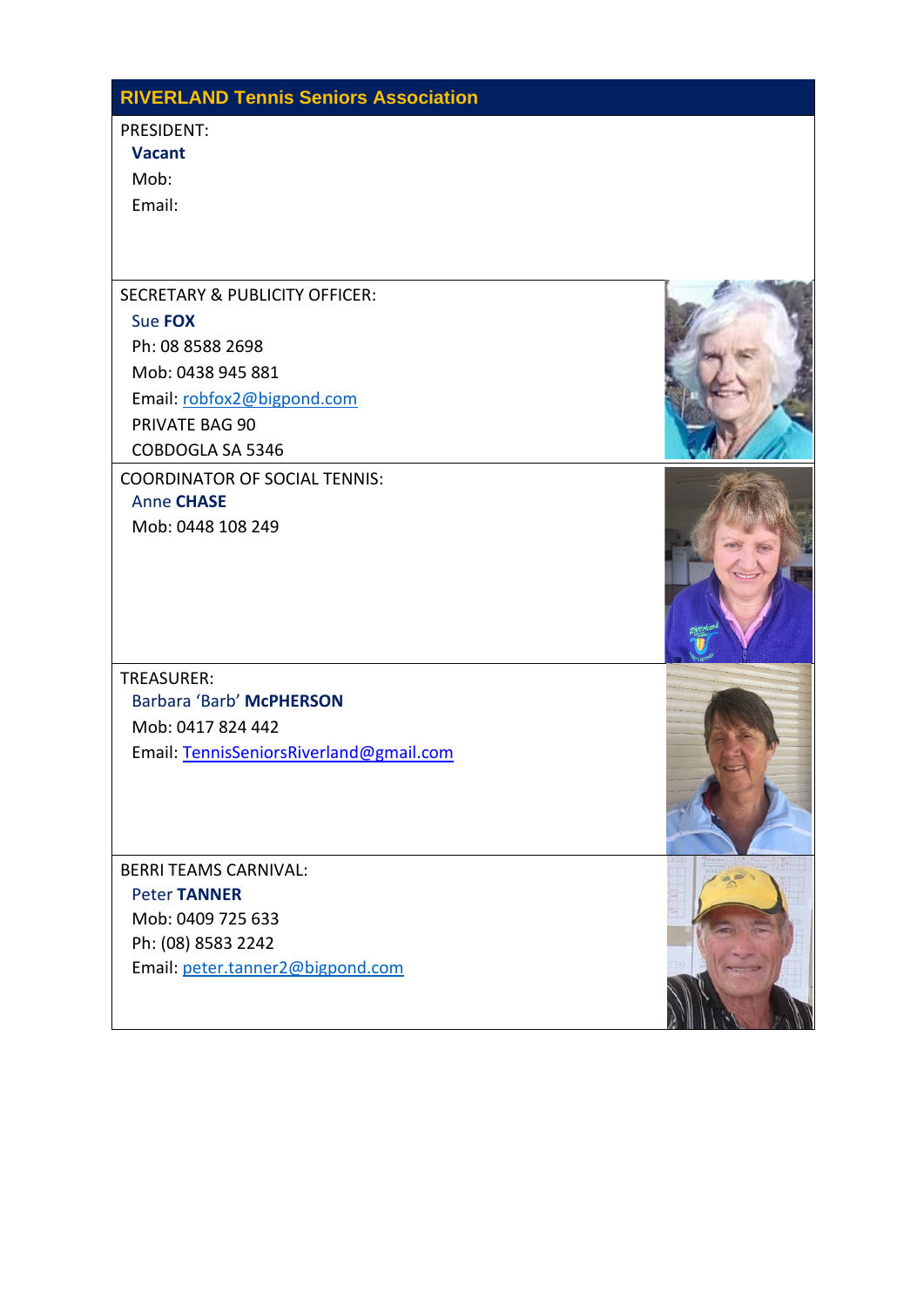# **RIVERLAND Tennis Seniors Association** PRESIDENT: **Vacant** Mob: Email: SECRETARY & PUBLICITY OFFICER: Sue **FOX** Ph: 08 8588 2698 Mob: 0438 945 881 Email: [robfox2@bigpond.com](mailto:robfox2@bigpond.com) PRIVATE BAG 90 COBDOGLA SA 5346 COORDINATOR OF SOCIAL TENNIS: Anne **CHASE** Mob: 0448 108 249 TREASURER: Barbara 'Barb' **McPHERSON** Mob: 0417 824 442 Email: TennisSeniorsRiverland@gmail.com BERRI TEAMS CARNIVAL: Peter **TANNER** Mob: 0409 725 633 Ph: (08) 8583 2242 Email: [peter.tanner2@bigpond.com](mailto:peter.tanner2@bigpond.com)